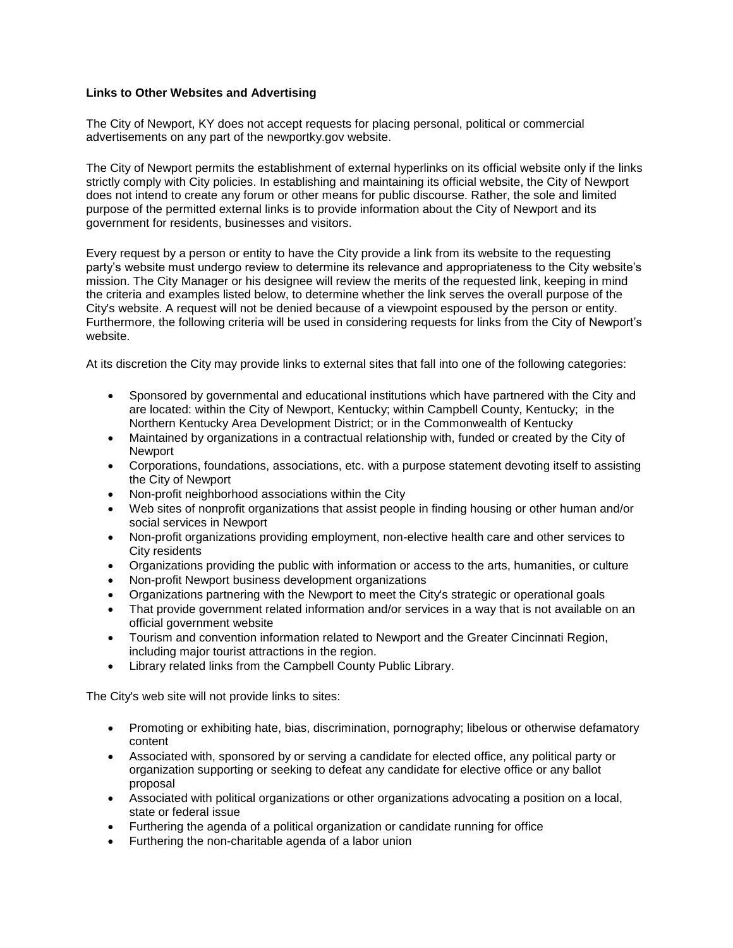## **Links to Other Websites and Advertising**

The City of Newport, KY does not accept requests for placing personal, political or commercial advertisements on any part of the newportky.gov website.

The City of Newport permits the establishment of external hyperlinks on its official website only if the links strictly comply with City policies. In establishing and maintaining its official website, the City of Newport does not intend to create any forum or other means for public discourse. Rather, the sole and limited purpose of the permitted external links is to provide information about the City of Newport and its government for residents, businesses and visitors.

Every request by a person or entity to have the City provide a link from its website to the requesting party's website must undergo review to determine its relevance and appropriateness to the City website's mission. The City Manager or his designee will review the merits of the requested link, keeping in mind the criteria and examples listed below, to determine whether the link serves the overall purpose of the City's website. A request will not be denied because of a viewpoint espoused by the person or entity. Furthermore, the following criteria will be used in considering requests for links from the City of Newport's website.

At its discretion the City may provide links to external sites that fall into one of the following categories:

- Sponsored by governmental and educational institutions which have partnered with the City and are located: within the City of Newport, Kentucky; within Campbell County, Kentucky; in the Northern Kentucky Area Development District; or in the Commonwealth of Kentucky
- Maintained by organizations in a contractual relationship with, funded or created by the City of **Newport**
- Corporations, foundations, associations, etc. with a purpose statement devoting itself to assisting the City of Newport
- Non-profit neighborhood associations within the City
- Web sites of nonprofit organizations that assist people in finding housing or other human and/or social services in Newport
- Non-profit organizations providing employment, non-elective health care and other services to City residents
- Organizations providing the public with information or access to the arts, humanities, or culture
- Non-profit Newport business development organizations
- Organizations partnering with the Newport to meet the City's strategic or operational goals
- That provide government related information and/or services in a way that is not available on an official government website
- Tourism and convention information related to Newport and the Greater Cincinnati Region, including major tourist attractions in the region.
- Library related links from the Campbell County Public Library.

The City's web site will not provide links to sites:

- Promoting or exhibiting hate, bias, discrimination, pornography; libelous or otherwise defamatory content
- Associated with, sponsored by or serving a candidate for elected office, any political party or organization supporting or seeking to defeat any candidate for elective office or any ballot proposal
- Associated with political organizations or other organizations advocating a position on a local, state or federal issue
- Furthering the agenda of a political organization or candidate running for office
- Furthering the non-charitable agenda of a labor union